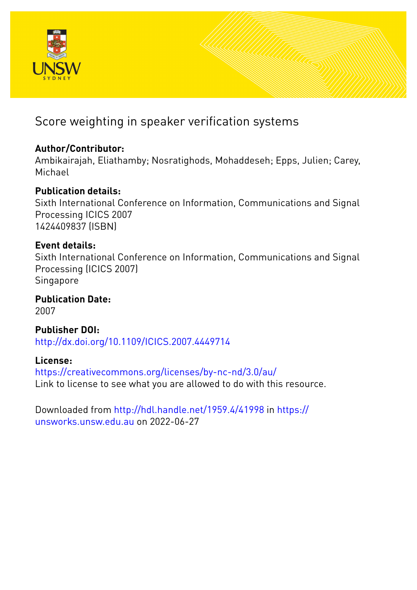

# Score weighting in speaker verification systems

# **Author/Contributor:**

Ambikairajah, Eliathamby; Nosratighods, Mohaddeseh; Epps, Julien; Carey, Michael

# **Publication details:**

Sixth International Conference on Information, Communications and Signal Processing ICICS 2007 1424409837 (ISBN)

# **Event details:**

Sixth International Conference on Information, Communications and Signal Processing (ICICS 2007) Singapore

**Publication Date:** 2007

**Publisher DOI:** [http://dx.doi.org/10.1109/ICICS.2007.4449714](http://dx.doi.org/http://dx.doi.org/10.1109/ICICS.2007.4449714)

# **License:**

<https://creativecommons.org/licenses/by-nc-nd/3.0/au/> Link to license to see what you are allowed to do with this resource.

Downloaded from <http://hdl.handle.net/1959.4/41998> in [https://](https://unsworks.unsw.edu.au) [unsworks.unsw.edu.au](https://unsworks.unsw.edu.au) on 2022-06-27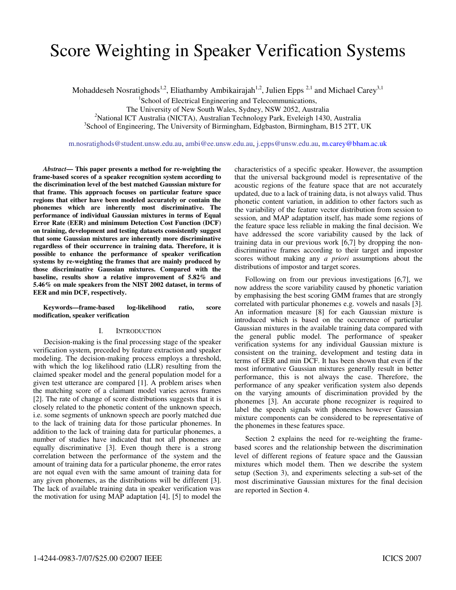# Score Weighting in Speaker Verification Systems

Mohaddeseh Nosratighods<sup>1,2</sup>, Eliathamby Ambikairajah<sup>1,2</sup>, Julien Epps <sup>2,1</sup> and Michael Carey<sup>3,1</sup>

<sup>1</sup>School of Electrical Engineering and Telecommunications,

The University of New South Wales, Sydney, NSW 2052, Australia

*<sup>2</sup>*National ICT Australia (NICTA), Australian Technology Park, Eveleigh 1430, Australia

<sup>3</sup>School of Engineering, The University of Birmingham, Edgbaston, Birmingham, B15 2TT, UK

m.nosratighods@student.unsw.edu.au, ambi@ee.unsw.edu.au, j.epps@unsw.edu.au, m.carey@bham.ac.uk

*Abstract***— This paper presents a method for re-weighting the frame-based scores of a speaker recognition system according to the discrimination level of the best matched Gaussian mixture for that frame. This approach focuses on particular feature space regions that either have been modeled accurately or contain the phonemes which are inherently most discriminative. The performance of individual Gaussian mixtures in terms of Equal Error Rate (EER) and minimum Detection Cost Function (DCF) on training, development and testing datasets consistently suggest that some Gaussian mixtures are inherently more discriminative regardless of their occurrence in training data. Therefore, it is possible to enhance the performance of speaker verification systems by re-weighting the frames that are mainly produced by those discriminative Gaussian mixtures. Compared with the baseline, results show a relative improvement of 5.82% and 5.46% on male speakers from the NIST 2002 dataset, in terms of EER and min DCF, respectively.** 

**Keywords—frame-based log-likelihood ratio, score modification, speaker verification** 

## I. INTRODUCTION

Decision-making is the final processing stage of the speaker verification system, preceded by feature extraction and speaker modeling. The decision-making process employs a threshold, with which the log likelihood ratio (LLR) resulting from the claimed speaker model and the general population model for a given test utterance are compared [1]. A problem arises when the matching score of a claimant model varies across frames [2]. The rate of change of score distributions suggests that it is closely related to the phonetic content of the unknown speech, i.e. some segments of unknown speech are poorly matched due to the lack of training data for those particular phonemes. In addition to the lack of training data for particular phonemes, a number of studies have indicated that not all phonemes are equally discriminative [3]. Even though there is a strong correlation between the performance of the system and the amount of training data for a particular phoneme, the error rates are not equal even with the same amount of training data for any given phonemes, as the distributions will be different [3]. The lack of available training data in speaker verification was the motivation for using MAP adaptation [4], [5] to model the

characteristics of a specific speaker. However, the assumption that the universal background model is representative of the acoustic regions of the feature space that are not accurately updated, due to a lack of training data, is not always valid. Thus phonetic content variation, in addition to other factors such as the variability of the feature vector distribution from session to session, and MAP adaptation itself, has made some regions of the feature space less reliable in making the final decision. We have addressed the score variability caused by the lack of training data in our previous work [6,7] by dropping the nondiscriminative frames according to their target and impostor scores without making any *a priori* assumptions about the distributions of impostor and target scores.

Following on from our previous investigations [6,7], we now address the score variability caused by phonetic variation by emphasising the best scoring GMM frames that are strongly correlated with particular phonemes e.g. vowels and nasals [3]. An information measure [8] for each Gaussian mixture is introduced which is based on the occurrence of particular Gaussian mixtures in the available training data compared with the general public model. The performance of speaker verification systems for any individual Gaussian mixture is consistent on the training, development and testing data in terms of EER and min DCF. It has been shown that even if the most informative Gaussian mixtures generally result in better performance, this is not always the case. Therefore, the performance of any speaker verification system also depends on the varying amounts of discrimination provided by the phonemes [3]. An accurate phone recognizer is required to label the speech signals with phonemes however Gaussian mixture components can be considered to be representative of the phonemes in these features space.

Section 2 explains the need for re-weighting the framebased scores and the relationship between the discrimination level of different regions of feature space and the Gaussian mixtures which model them. Then we describe the system setup (Section 3), and experiments selecting a sub-set of the most discriminative Gaussian mixtures for the final decision are reported in Section 4.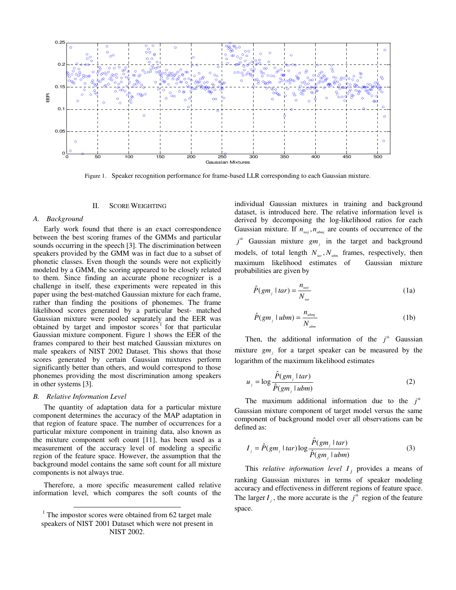

Figure 1. Speaker recognition performance for frame-based LLR corresponding to each Gaussian mixture.

#### II. SCORE WEIGHTING

#### *A. Background*

Early work found that there is an exact correspondence between the best scoring frames of the GMMs and particular sounds occurring in the speech [3]. The discrimination between speakers provided by the GMM was in fact due to a subset of phonetic classes. Even though the sounds were not explicitly modeled by a GMM, the scoring appeared to be closely related to them. Since finding an accurate phone recognizer is a challenge in itself, these experiments were repeated in this paper using the best-matched Gaussian mixture for each frame, rather than finding the positions of phonemes. The frame likelihood scores generated by a particular best- matched Gaussian mixture were pooled separately and the EER was obtained by target and impostor  $\arccos<sup>1</sup>$  for that particular Gaussian mixture component. Figure 1 shows the EER of the frames compared to their best matched Gaussian mixtures on male speakers of NIST 2002 Dataset. This shows that those scores generated by certain Gaussian mixtures perform significantly better than others, and would correspond to those phonemes providing the most discrimination among speakers in other systems [3].

### *B. Relative Information Level*

 $\overline{a}$ 

The quantity of adaptation data for a particular mixture component determines the accuracy of the MAP adaptation in that region of feature space. The number of occurrences for a particular mixture component in training data, also known as the mixture component soft count [11], has been used as a measurement of the accuracy level of modeling a specific region of the feature space. However, the assumption that the background model contains the same soft count for all mixture components is not always true.

Therefore, a more specific measurement called relative information level, which compares the soft counts of the individual Gaussian mixtures in training and background dataset, is introduced here. The relative information level is derived by decomposing the log-likelihood ratios for each Gaussian mixture. If  $n_{\text{tari}}$ ,  $n_{\text{ubin}}$  are counts of occurrence of the  $j<sup>th</sup>$  Gaussian mixture  $gm<sub>j</sub>$  in the target and background models, of total length  $N_{tar}$ ,  $N_{whm}$  frames, respectively, then maximum likelihood estimates of Gaussian mixture probabilities are given by

$$
\hat{P}(gm_j \mid tar) = \frac{n_{\text{tary}}}{N_{\text{tar}}}
$$
\n(1a)

$$
\hat{P}(gm_j \mid ubm) = \frac{n_{\text{ubmj}}}{N_{\text{ubm}}} \tag{1b}
$$

Then, the additional information of the  $j<sup>th</sup>$  Gaussian mixture  $gm_j$  for a target speaker can be measured by the logarithm of the maximum likelihood estimates

$$
u_j = \log \frac{\hat{P}(gm_j \mid tar)}{\hat{P}(gm_j \mid ubm)} \tag{2}
$$

The maximum additional information due to the  $j<sup>th</sup>$ Gaussian mixture component of target model versus the same component of background model over all observations can be defined as:

$$
I_j = \hat{P}(gm_j \mid tar) \log \frac{\hat{P}(gm_j \mid tar)}{\hat{P}(gm_j \mid ubm)} \tag{3}
$$

This *relative information level*  $I_j$  provides a means of ranking Gaussian mixtures in terms of speaker modeling accuracy and effectiveness in different regions of feature space. The larger  $I_j$ , the more accurate is the  $j^{\text{th}}$  region of the feature space.

 $1$  The impostor scores were obtained from 62 target male speakers of NIST 2001 Dataset which were not present in NIST 2002.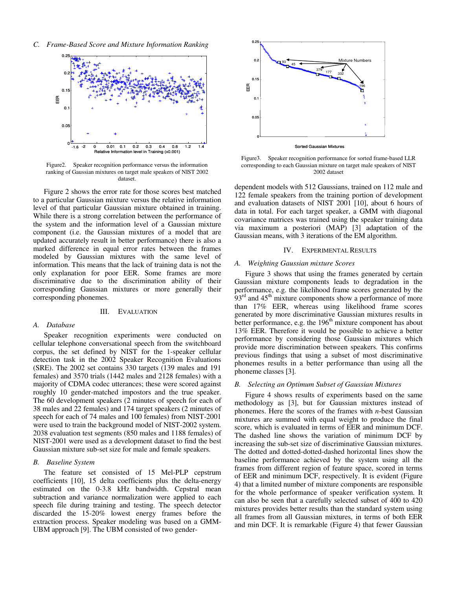*C. Frame-Based Score and Mixture Information Ranking* 



Figure2. Speaker recognition performance versus the information ranking of Gaussian mixtures on target male speakers of NIST 2002 dataset.

Figure 2 shows the error rate for those scores best matched to a particular Gaussian mixture versus the relative information level of that particular Gaussian mixture obtained in training. While there is a strong correlation between the performance of the system and the information level of a Gaussian mixture component (i.e. the Gaussian mixtures of a model that are updated accurately result in better performance) there is also a marked difference in equal error rates between the frames modeled by Gaussian mixtures with the same level of information. This means that the lack of training data is not the only explanation for poor EER. Some frames are more discriminative due to the discrimination ability of their corresponding Gaussian mixtures or more generally their corresponding phonemes.

#### III. EVALUATION

## *A. Database*

Speaker recognition experiments were conducted on cellular telephone conversational speech from the switchboard corpus, the set defined by NIST for the 1-speaker cellular detection task in the 2002 Speaker Recognition Evaluations (SRE). The 2002 set contains 330 targets (139 males and 191 females) and 3570 trials (1442 males and 2128 females) with a majority of CDMA codec utterances; these were scored against roughly 10 gender-matched impostors and the true speaker. The 60 development speakers (2 minutes of speech for each of 38 males and 22 females) and 174 target speakers (2 minutes of speech for each of 74 males and 100 females) from NIST-2001 were used to train the background model of NIST-2002 system. 2038 evaluation test segments (850 males and 1188 females) of NIST-2001 were used as a development dataset to find the best Gaussian mixture sub-set size for male and female speakers.

## *B. Baseline System*

The feature set consisted of 15 Mel-PLP cepstrum coefficients [10], 15 delta coefficients plus the delta-energy estimated on the 0-3.8 kHz bandwidth. Cepstral mean subtraction and variance normalization were applied to each speech file during training and testing. The speech detector discarded the 15-20% lowest energy frames before the extraction process. Speaker modeling was based on a GMM-UBM approach [9]. The UBM consisted of two gender-



Figure3. Speaker recognition performance for sorted frame-based LLR corresponding to each Gaussian mixture on target male speakers of NIST 2002 dataset

dependent models with 512 Gaussians, trained on 112 male and 122 female speakers from the training portion of development and evaluation datasets of NIST 2001 [10], about 6 hours of data in total. For each target speaker, a GMM with diagonal covariance matrices was trained using the speaker training data via maximum a posteriori (MAP) [3] adaptation of the Gaussian means, with 3 iterations of the EM algorithm.

# IV. EXPERIMENTAL RESULTS

# *A. Weighting Gaussian mixture Scores*

Figure 3 shows that using the frames generated by certain Gaussian mixture components leads to degradation in the performance, e.g. the likelihood frame scores generated by the  $93<sup>rd</sup>$  and  $45<sup>th</sup>$  mixture components show a performance of more than 17% EER, whereas using likelihood frame scores generated by more discriminative Gaussian mixtures results in better performance, e.g. the 196<sup>th</sup> mixture component has about 13% EER. Therefore it would be possible to achieve a better performance by considering those Gaussian mixtures which provide more discrimination between speakers. This confirms previous findings that using a subset of most discriminative phonemes results in a better performance than using all the phoneme classes [3].

# *B. Selecting an Optimum Subset of Gaussian Mixtures*

Figure 4 shows results of experiments based on the same methodology as [3], but for Gaussian mixtures instead of phonemes. Here the scores of the frames with *n*-best Gaussian mixtures are summed with equal weight to produce the final score, which is evaluated in terms of EER and minimum DCF. The dashed line shows the variation of minimum DCF by increasing the sub-set size of discriminative Gaussian mixtures. The dotted and dotted-dotted-dashed horizontal lines show the baseline performance achieved by the system using all the frames from different region of feature space, scored in terms of EER and minimum DCF, respectively. It is evident (Figure 4) that a limited number of mixture components are responsible for the whole performance of speaker verification system. It can also be seen that a carefully selected subset of 400 to 420 mixtures provides better results than the standard system using all frames from all Gaussian mixtures, in terms of both EER and min DCF. It is remarkable (Figure 4) that fewer Gaussian